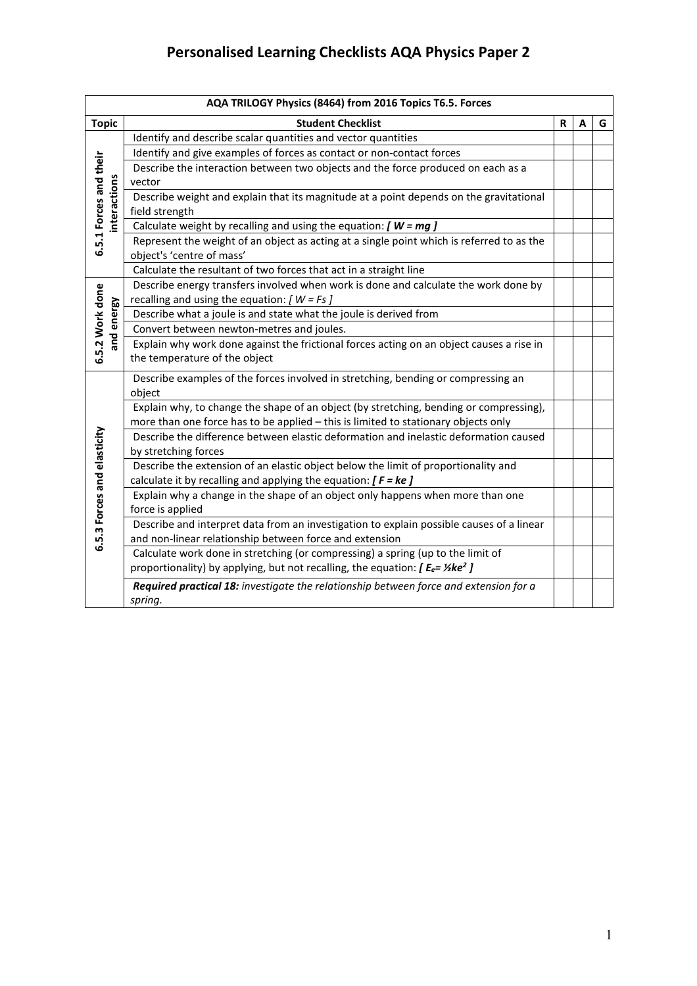## **Personalised Learning Checklists AQA Physics Paper 2**

|                                       | AQA TRILOGY Physics (8464) from 2016 Topics T6.5. Forces                                  |   |   |   |
|---------------------------------------|-------------------------------------------------------------------------------------------|---|---|---|
| <b>Topic</b>                          | <b>Student Checklist</b>                                                                  | R | A | G |
|                                       | Identify and describe scalar quantities and vector quantities                             |   |   |   |
|                                       | Identify and give examples of forces as contact or non-contact forces                     |   |   |   |
|                                       | Describe the interaction between two objects and the force produced on each as a          |   |   |   |
|                                       | vector                                                                                    |   |   |   |
|                                       | Describe weight and explain that its magnitude at a point depends on the gravitational    |   |   |   |
| 6.5.1 Forces and their<br>nteractions | field strength                                                                            |   |   |   |
|                                       | Calculate weight by recalling and using the equation: $[ W = mg ]$                        |   |   |   |
|                                       | Represent the weight of an object as acting at a single point which is referred to as the |   |   |   |
|                                       | object's 'centre of mass'                                                                 |   |   |   |
|                                       | Calculate the resultant of two forces that act in a straight line                         |   |   |   |
|                                       | Describe energy transfers involved when work is done and calculate the work done by       |   |   |   |
|                                       | recalling and using the equation: $[ W = Fs ]$                                            |   |   |   |
| 6.5.2 Work done<br>and energy         | Describe what a joule is and state what the joule is derived from                         |   |   |   |
|                                       | Convert between newton-metres and joules.                                                 |   |   |   |
|                                       | Explain why work done against the frictional forces acting on an object causes a rise in  |   |   |   |
|                                       | the temperature of the object                                                             |   |   |   |
|                                       | Describe examples of the forces involved in stretching, bending or compressing an         |   |   |   |
|                                       | object                                                                                    |   |   |   |
|                                       | Explain why, to change the shape of an object (by stretching, bending or compressing),    |   |   |   |
|                                       | more than one force has to be applied - this is limited to stationary objects only        |   |   |   |
|                                       | Describe the difference between elastic deformation and inelastic deformation caused      |   |   |   |
|                                       | by stretching forces                                                                      |   |   |   |
|                                       | Describe the extension of an elastic object below the limit of proportionality and        |   |   |   |
|                                       | calculate it by recalling and applying the equation: $[ F = ke ]$                         |   |   |   |
|                                       | Explain why a change in the shape of an object only happens when more than one            |   |   |   |
| 6.5.3 Forces and elasticity           | force is applied                                                                          |   |   |   |
|                                       | Describe and interpret data from an investigation to explain possible causes of a linear  |   |   |   |
|                                       | and non-linear relationship between force and extension                                   |   |   |   |
|                                       | Calculate work done in stretching (or compressing) a spring (up to the limit of           |   |   |   |
|                                       | proportionality) by applying, but not recalling, the equation: $[Fe = \frac{1}{2}ke^2]$   |   |   |   |
|                                       | Required practical 18: investigate the relationship between force and extension for a     |   |   |   |
|                                       | spring.                                                                                   |   |   |   |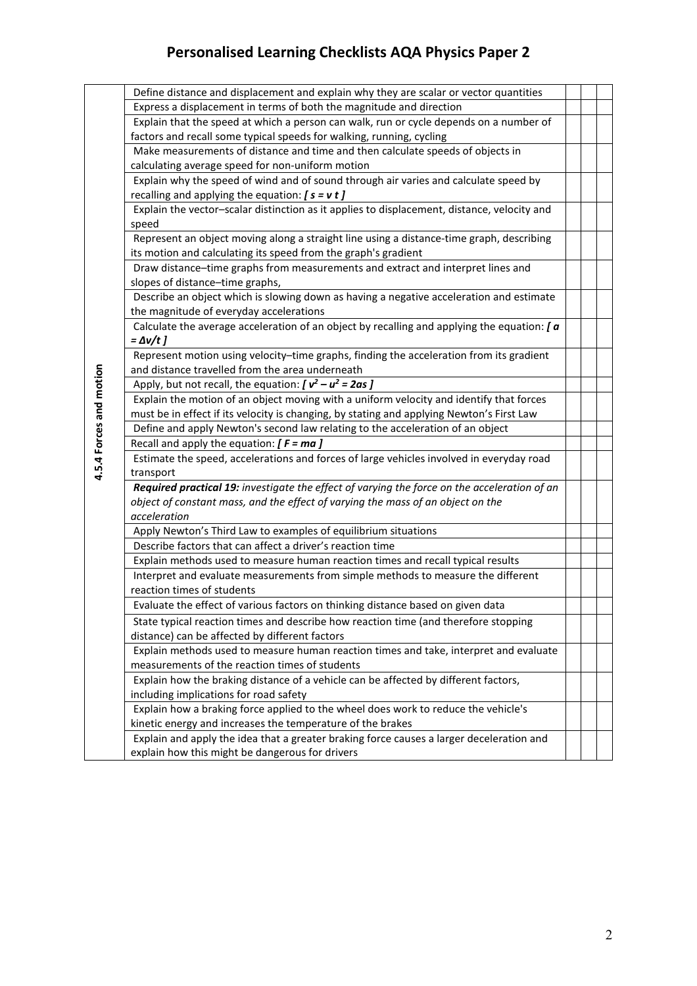## **Personalised Learning Checklists AQA Physics Paper 2**

|                         | Define distance and displacement and explain why they are scalar or vector quantities            |  |  |
|-------------------------|--------------------------------------------------------------------------------------------------|--|--|
|                         | Express a displacement in terms of both the magnitude and direction                              |  |  |
|                         | Explain that the speed at which a person can walk, run or cycle depends on a number of           |  |  |
|                         | factors and recall some typical speeds for walking, running, cycling                             |  |  |
|                         | Make measurements of distance and time and then calculate speeds of objects in                   |  |  |
|                         | calculating average speed for non-uniform motion                                                 |  |  |
|                         | Explain why the speed of wind and of sound through air varies and calculate speed by             |  |  |
|                         | recalling and applying the equation: $[s = v t]$                                                 |  |  |
|                         | Explain the vector-scalar distinction as it applies to displacement, distance, velocity and      |  |  |
|                         | speed                                                                                            |  |  |
|                         | Represent an object moving along a straight line using a distance-time graph, describing         |  |  |
|                         | its motion and calculating its speed from the graph's gradient                                   |  |  |
|                         | Draw distance-time graphs from measurements and extract and interpret lines and                  |  |  |
|                         | slopes of distance-time graphs,                                                                  |  |  |
|                         | Describe an object which is slowing down as having a negative acceleration and estimate          |  |  |
|                         | the magnitude of everyday accelerations                                                          |  |  |
|                         | Calculate the average acceleration of an object by recalling and applying the equation: $\int a$ |  |  |
|                         | $=\Delta v/t$ ]                                                                                  |  |  |
|                         | Represent motion using velocity-time graphs, finding the acceleration from its gradient          |  |  |
|                         | and distance travelled from the area underneath                                                  |  |  |
|                         | Apply, but not recall, the equation: $[v^2 - u^2 = 2as]$                                         |  |  |
|                         | Explain the motion of an object moving with a uniform velocity and identify that forces          |  |  |
| 4.5.4 Forces and motion | must be in effect if its velocity is changing, by stating and applying Newton's First Law        |  |  |
|                         | Define and apply Newton's second law relating to the acceleration of an object                   |  |  |
|                         | Recall and apply the equation: $[ F = ma ]$                                                      |  |  |
|                         | Estimate the speed, accelerations and forces of large vehicles involved in everyday road         |  |  |
|                         | transport                                                                                        |  |  |
|                         | Required practical 19: investigate the effect of varying the force on the acceleration of an     |  |  |
|                         | object of constant mass, and the effect of varying the mass of an object on the                  |  |  |
|                         | acceleration                                                                                     |  |  |
|                         | Apply Newton's Third Law to examples of equilibrium situations                                   |  |  |
|                         | Describe factors that can affect a driver's reaction time                                        |  |  |
|                         | Explain methods used to measure human reaction times and recall typical results                  |  |  |
|                         | Interpret and evaluate measurements from simple methods to measure the different                 |  |  |
|                         | reaction times of students                                                                       |  |  |
|                         | Evaluate the effect of various factors on thinking distance based on given data                  |  |  |
|                         | State typical reaction times and describe how reaction time (and therefore stopping              |  |  |
|                         | distance) can be affected by different factors                                                   |  |  |
|                         | Explain methods used to measure human reaction times and take, interpret and evaluate            |  |  |
|                         | measurements of the reaction times of students                                                   |  |  |
|                         | Explain how the braking distance of a vehicle can be affected by different factors,              |  |  |
|                         | including implications for road safety                                                           |  |  |
|                         | Explain how a braking force applied to the wheel does work to reduce the vehicle's               |  |  |
|                         | kinetic energy and increases the temperature of the brakes                                       |  |  |
|                         | Explain and apply the idea that a greater braking force causes a larger deceleration and         |  |  |
|                         | explain how this might be dangerous for drivers                                                  |  |  |
|                         |                                                                                                  |  |  |